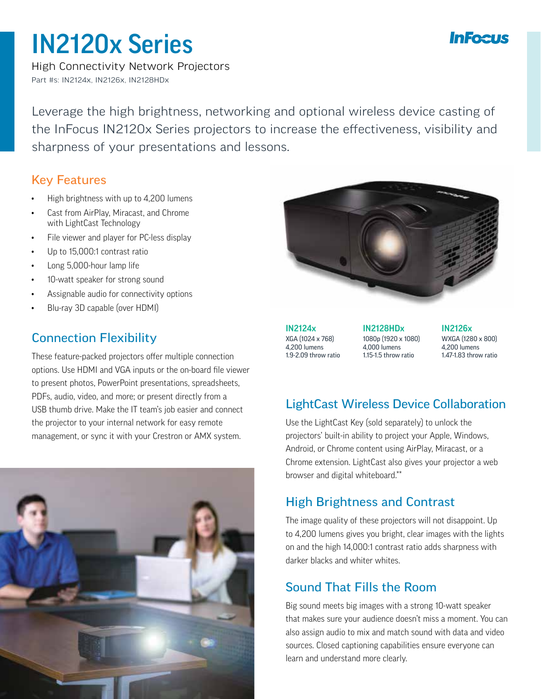# InFealt

# IN2120x Series

High Connectivity Network Projectors Part #s: IN2124x, IN2126x, IN2128HDx

Leverage the high brightness, networking and optional wireless device casting of the InFocus IN2120x Series projectors to increase the effectiveness, visibility and sharpness of your presentations and lessons.

#### Key Features

- High brightness with up to 4,200 lumens
- Cast from AirPlay, Miracast, and Chrome with LightCast Technology
- File viewer and player for PC-less display
- Up to 15,000:1 contrast ratio
- Long 5,000-hour lamp life
- 10-watt speaker for strong sound
- Assignable audio for connectivity options
- Blu-ray 3D capable (over HDMI)

### Connection Flexibility

These feature-packed projectors offer multiple connection options. Use HDMI and VGA inputs or the on-board file viewer to present photos, PowerPoint presentations, spreadsheets, PDFs, audio, video, and more; or present directly from a USB thumb drive. Make the IT team's job easier and connect the projector to your internal network for easy remote management, or sync it with your Crestron or AMX system.





IN2124x XGA (1024 x 768) 4,200 lumens 1.9-2.09 throw ratio

IN2128HDx 1080p (1920 x 1080) 4,000 lumens 1.15-1.5 throw ratio

IN2126x WXGA (1280 x 800) 4,200 lumens 1.47-1.83 throw ratio

# LightCast Wireless Device Collaboration

Use the LightCast Key (sold separately) to unlock the projectors' built-in ability to project your Apple, Windows, Android, or Chrome content using AirPlay, Miracast, or a Chrome extension. LightCast also gives your projector a web browser and digital whiteboard.\*\*

# High Brightness and Contrast

The image quality of these projectors will not disappoint. Up to 4,200 lumens gives you bright, clear images with the lights on and the high 14,000:1 contrast ratio adds sharpness with darker blacks and whiter whites.

# Sound That Fills the Room

Big sound meets big images with a strong 10-watt speaker that makes sure your audience doesn't miss a moment. You can also assign audio to mix and match sound with data and video sources. Closed captioning capabilities ensure everyone can learn and understand more clearly.